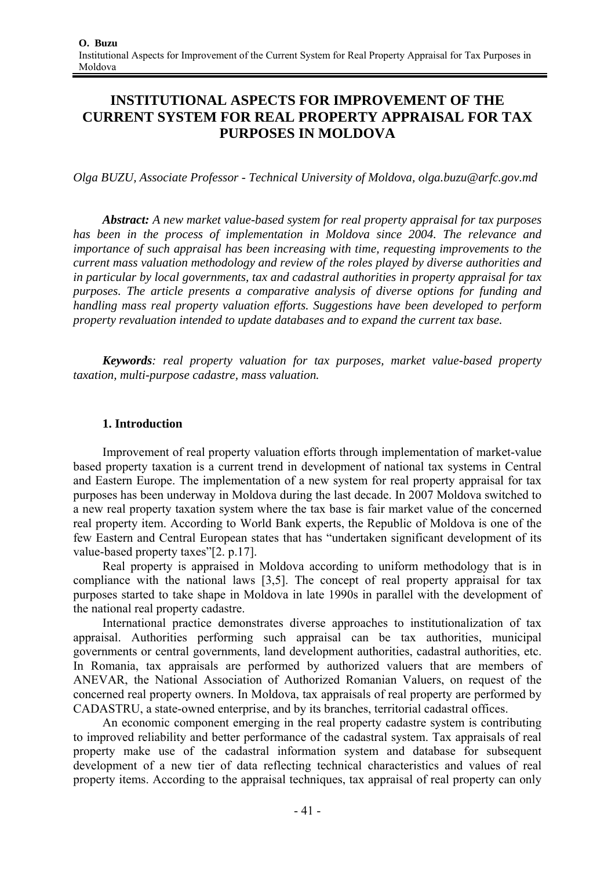# **INSTITUTIONAL ASPECTS FOR IMPROVEMENT OF THE CURRENT SYSTEM FOR REAL PROPERTY APPRAISAL FOR TAX PURPOSES IN MOLDOVA**

*Olga BUZU, Associate Professor - Technical University of Moldova, olga.buzu@arfc.gov.md* 

*Abstract: A new market value-based system for real property appraisal for tax purposes has been in the process of implementation in Moldova since 2004. The relevance and importance of such appraisal has been increasing with time, requesting improvements to the current mass valuation methodology and review of the roles played by diverse authorities and in particular by local governments, tax and cadastral authorities in property appraisal for tax purposes. The article presents a comparative analysis of diverse options for funding and handling mass real property valuation efforts. Suggestions have been developed to perform property revaluation intended to update databases and to expand the current tax base.* 

*Keywords: real property valuation for tax purposes, market value-based property taxation, multi-purpose cadastre, mass valuation.* 

# **1. Introduction**

Improvement of real property valuation efforts through implementation of market-value based property taxation is a current trend in development of national tax systems in Central and Eastern Europe. The implementation of a new system for real property appraisal for tax purposes has been underway in Moldova during the last decade. In 2007 Moldova switched to a new real property taxation system where the tax base is fair market value of the concerned real property item. According to World Bank experts, the Republic of Moldova is one of the few Eastern and Central European states that has "undertaken significant development of its value-based property taxes"[2. p.17].

Real property is appraised in Moldova according to uniform methodology that is in compliance with the national laws [3,5]. The concept of real property appraisal for tax purposes started to take shape in Moldova in late 1990s in parallel with the development of the national real property cadastre.

International practice demonstrates diverse approaches to institutionalization of tax appraisal. Authorities performing such appraisal can be tax authorities, municipal governments or central governments, land development authorities, cadastral authorities, etc. In Romania, tax appraisals are performed by authorized valuers that are members of ANEVAR, the National Association of Authorized Romanian Valuers, on request of the concerned real property owners. In Moldova, tax appraisals of real property are performed by CADASTRU, a state-owned enterprise, and by its branches, territorial cadastral offices.

An economic component emerging in the real property cadastre system is contributing to improved reliability and better performance of the cadastral system. Tax appraisals of real property make use of the cadastral information system and database for subsequent development of a new tier of data reflecting technical characteristics and values of real property items. According to the appraisal techniques, tax appraisal of real property can only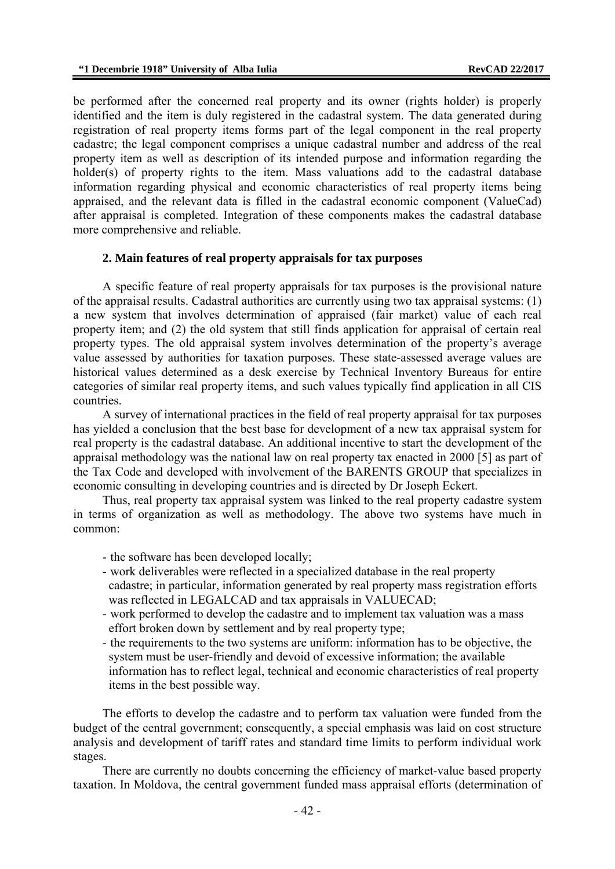be performed after the concerned real property and its owner (rights holder) is properly identified and the item is duly registered in the cadastral system. The data generated during registration of real property items forms part of the legal component in the real property cadastre; the legal component comprises a unique cadastral number and address of the real property item as well as description of its intended purpose and information regarding the holder(s) of property rights to the item. Mass valuations add to the cadastral database information regarding physical and economic characteristics of real property items being appraised, and the relevant data is filled in the cadastral economic component (ValueСad) after appraisal is completed. Integration of these components makes the cadastral database more comprehensive and reliable.

#### **2. Main features of real property appraisals for tax purposes**

A specific feature of real property appraisals for tax purposes is the provisional nature of the appraisal results. Cadastral authorities are currently using two tax appraisal systems: (1) a new system that involves determination of appraised (fair market) value of each real property item; and (2) the old system that still finds application for appraisal of certain real property types. The old appraisal system involves determination of the property's average value assessed by authorities for taxation purposes. These state-assessed average values are historical values determined as a desk exercise by Technical Inventory Bureaus for entire categories of similar real property items, and such values typically find application in all CIS countries.

A survey of international practices in the field of real property appraisal for tax purposes has yielded a conclusion that the best base for development of a new tax appraisal system for real property is the cadastral database. An additional incentive to start the development of the appraisal methodology was the national law on real property tax enacted in 2000 [5] as part of the Tax Code and developed with involvement of the BARENTS GROUP that specializes in economic consulting in developing countries and is directed by Dr Joseph Eckert.

Thus, real property tax appraisal system was linked to the real property cadastre system in terms of organization as well as methodology. The above two systems have much in common:

- the software has been developed locally;
- work deliverables were reflected in a specialized database in the real property cadastre; in particular, information generated by real property mass registration efforts was reflected in LEGALCAD and tax appraisals in VALUECAD;
- work performed to develop the cadastre and to implement tax valuation was a mass effort broken down by settlement and by real property type;
- the requirements to the two systems are uniform: information has to be objective, the system must be user-friendly and devoid of excessive information; the available information has to reflect legal, technical and economic characteristics of real property items in the best possible way.

The efforts to develop the cadastre and to perform tax valuation were funded from the budget of the central government; consequently, a special emphasis was laid on cost structure analysis and development of tariff rates and standard time limits to perform individual work stages.

There are currently no doubts concerning the efficiency of market-value based property taxation. In Moldova, the central government funded mass appraisal efforts (determination of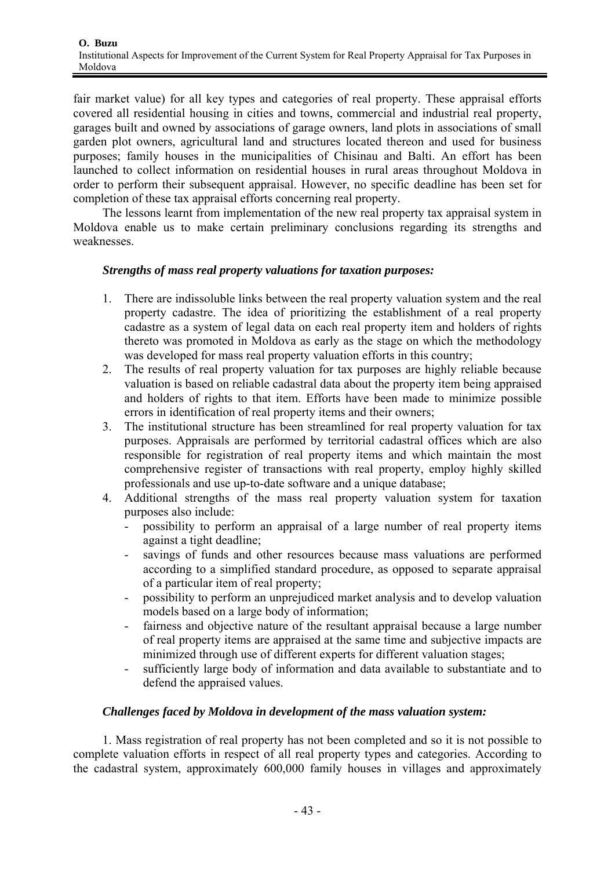fair market value) for all key types and categories of real property. These appraisal efforts covered all residential housing in cities and towns, commercial and industrial real property, garages built and owned by associations of garage owners, land plots in associations of small garden plot owners, agricultural land and structures located thereon and used for business purposes; family houses in the municipalities of Chisinau and Balti. An effort has been launched to collect information on residential houses in rural areas throughout Moldova in order to perform their subsequent appraisal. However, no specific deadline has been set for completion of these tax appraisal efforts concerning real property.

The lessons learnt from implementation of the new real property tax appraisal system in Moldova enable us to make certain preliminary conclusions regarding its strengths and weaknesses.

# *Strengths of mass real property valuations for taxation purposes:*

- 1. There are indissoluble links between the real property valuation system and the real property cadastre. The idea of prioritizing the establishment of a real property cadastre as a system of legal data on each real property item and holders of rights thereto was promoted in Moldova as early as the stage on which the methodology was developed for mass real property valuation efforts in this country;
- 2. The results of real property valuation for tax purposes are highly reliable because valuation is based on reliable cadastral data about the property item being appraised and holders of rights to that item. Efforts have been made to minimize possible errors in identification of real property items and their owners;
- 3. The institutional structure has been streamlined for real property valuation for tax purposes. Appraisals are performed by territorial cadastral offices which are also responsible for registration of real property items and which maintain the most comprehensive register of transactions with real property, employ highly skilled professionals and use up-to-date software and a unique database;
- 4. Additional strengths of the mass real property valuation system for taxation purposes also include:
	- possibility to perform an appraisal of a large number of real property items against a tight deadline;
	- savings of funds and other resources because mass valuations are performed according to a simplified standard procedure, as opposed to separate appraisal of a particular item of real property;
	- possibility to perform an unprejudiced market analysis and to develop valuation models based on a large body of information;
	- fairness and objective nature of the resultant appraisal because a large number of real property items are appraised at the same time and subjective impacts are minimized through use of different experts for different valuation stages;
	- sufficiently large body of information and data available to substantiate and to defend the appraised values.

# *Challenges faced by Moldova in development of the mass valuation system:*

1. Mass registration of real property has not been completed and so it is not possible to complete valuation efforts in respect of all real property types and categories. According to the cadastral system, approximately 600,000 family houses in villages and approximately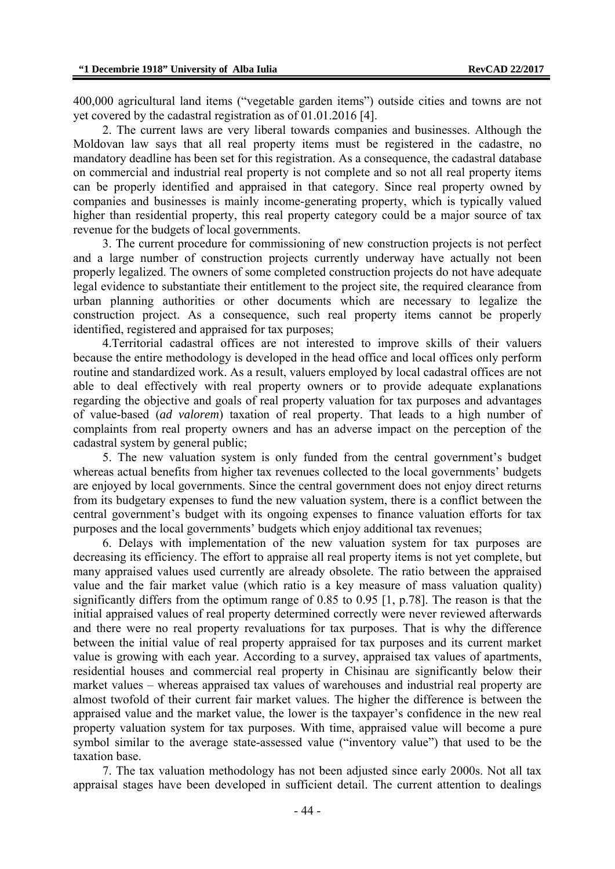400,000 agricultural land items ("vegetable garden items") outside cities and towns are not yet covered by the cadastral registration as of 01.01.2016 [4].

2. The current laws are very liberal towards companies and businesses. Although the Moldovan law says that all real property items must be registered in the cadastre, no mandatory deadline has been set for this registration. As a consequence, the cadastral database on commercial and industrial real property is not complete and so not all real property items can be properly identified and appraised in that category. Since real property owned by companies and businesses is mainly income-generating property, which is typically valued higher than residential property, this real property category could be a major source of tax revenue for the budgets of local governments.

3. The current procedure for commissioning of new construction projects is not perfect and a large number of construction projects currently underway have actually not been properly legalized. The owners of some completed construction projects do not have adequate legal evidence to substantiate their entitlement to the project site, the required clearance from urban planning authorities or other documents which are necessary to legalize the construction project. As a consequence, such real property items cannot be properly identified, registered and appraised for tax purposes;

4.Тerritorial cadastral offices are not interested to improve skills of their valuers because the entire methodology is developed in the head office and local offices only perform routine and standardized work. As a result, valuers employed by local cadastral offices are not able to deal effectively with real property owners or to provide adequate explanations regarding the objective and goals of real property valuation for tax purposes and advantages of value-based (*ad valorem*) taxation of real property. That leads to a high number of complaints from real property owners and has an adverse impact on the perception of the cadastral system by general public;

5. The new valuation system is only funded from the central government's budget whereas actual benefits from higher tax revenues collected to the local governments' budgets are enjoyed by local governments. Since the central government does not enjoy direct returns from its budgetary expenses to fund the new valuation system, there is a conflict between the central government's budget with its ongoing expenses to finance valuation efforts for tax purposes and the local governments' budgets which enjoy additional tax revenues;

6. Delays with implementation of the new valuation system for tax purposes are decreasing its efficiency. The effort to appraise all real property items is not yet complete, but many appraised values used currently are already obsolete. The ratio between the appraised value and the fair market value (which ratio is a key measure of mass valuation quality) significantly differs from the optimum range of 0.85 to 0.95 [1, p.78]. The reason is that the initial appraised values of real property determined correctly were never reviewed afterwards and there were no real property revaluations for tax purposes. That is why the difference between the initial value of real property appraised for tax purposes and its current market value is growing with each year. According to a survey, appraised tax values of apartments, residential houses and commercial real property in Chisinau are significantly below their market values – whereas appraised tax values of warehouses and industrial real property are almost twofold of their current fair market values. The higher the difference is between the appraised value and the market value, the lower is the taxpayer's confidence in the new real property valuation system for tax purposes. With time, appraised value will become a pure symbol similar to the average state-assessed value ("inventory value") that used to be the taxation base.

7. The tax valuation methodology has not been adjusted since early 2000s. Not all tax appraisal stages have been developed in sufficient detail. The current attention to dealings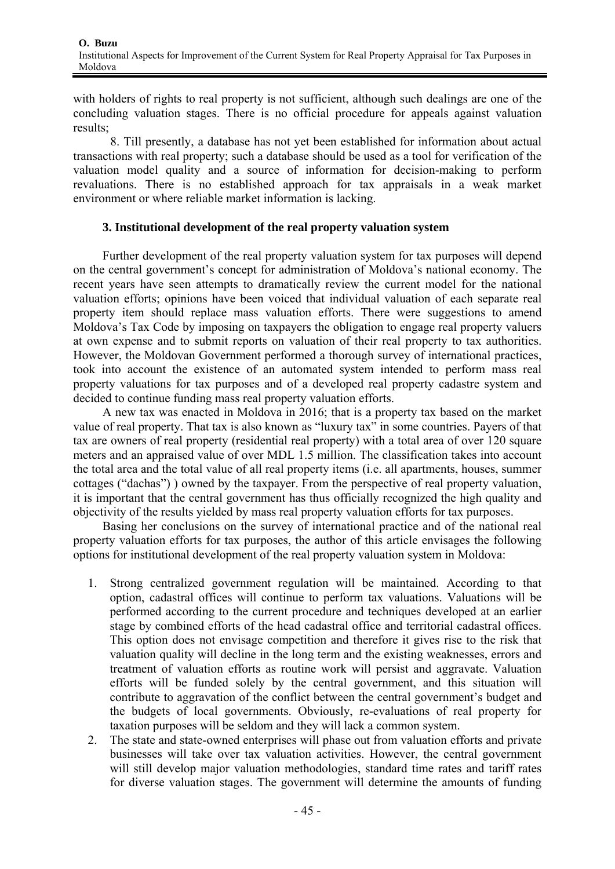with holders of rights to real property is not sufficient, although such dealings are one of the concluding valuation stages. There is no official procedure for appeals against valuation results;

8. Till presently, a database has not yet been established for information about actual transactions with real property; such a database should be used as a tool for verification of the valuation model quality and a source of information for decision-making to perform revaluations. There is no established approach for tax appraisals in a weak market environment or where reliable market information is lacking.

# **3. Institutional development of the real property valuation system**

Further development of the real property valuation system for tax purposes will depend on the central government's concept for administration of Moldova's national economy. The recent years have seen attempts to dramatically review the current model for the national valuation efforts; opinions have been voiced that individual valuation of each separate real property item should replace mass valuation efforts. There were suggestions to amend Moldova's Tax Code by imposing on taxpayers the obligation to engage real property valuers at own expense and to submit reports on valuation of their real property to tax authorities. However, the Moldovan Government performed a thorough survey of international practices, took into account the existence of an automated system intended to perform mass real property valuations for tax purposes and of a developed real property cadastre system and decided to continue funding mass real property valuation efforts.

A new tax was enacted in Moldova in 2016; that is a property tax based on the market value of real property. That tax is also known as "luxury tax" in some countries. Payers of that tax are owners of real property (residential real property) with a total area of over 120 square meters and an appraised value of over MDL 1.5 million. The classification takes into account the total area and the total value of all real property items (i.e. all apartments, houses, summer cottages ("dachas") ) owned by the taxpayer. From the perspective of real property valuation, it is important that the central government has thus officially recognized the high quality and objectivity of the results yielded by mass real property valuation efforts for tax purposes.

Basing her conclusions on the survey of international practice and of the national real property valuation efforts for tax purposes, the author of this article envisages the following options for institutional development of the real property valuation system in Moldova:

- 1. Strong centralized government regulation will be maintained. According to that option, cadastral offices will continue to perform tax valuations. Valuations will be performed according to the current procedure and techniques developed at an earlier stage by combined efforts of the head cadastral office and territorial cadastral offices. This option does not envisage competition and therefore it gives rise to the risk that valuation quality will decline in the long term and the existing weaknesses, errors and treatment of valuation efforts as routine work will persist and aggravate. Valuation efforts will be funded solely by the central government, and this situation will contribute to aggravation of the conflict between the central government's budget and the budgets of local governments. Obviously, re-evaluations of real property for taxation purposes will be seldom and they will lack a common system.
- 2. The state and state-owned enterprises will phase out from valuation efforts and private businesses will take over tax valuation activities. However, the central government will still develop major valuation methodologies, standard time rates and tariff rates for diverse valuation stages. The government will determine the amounts of funding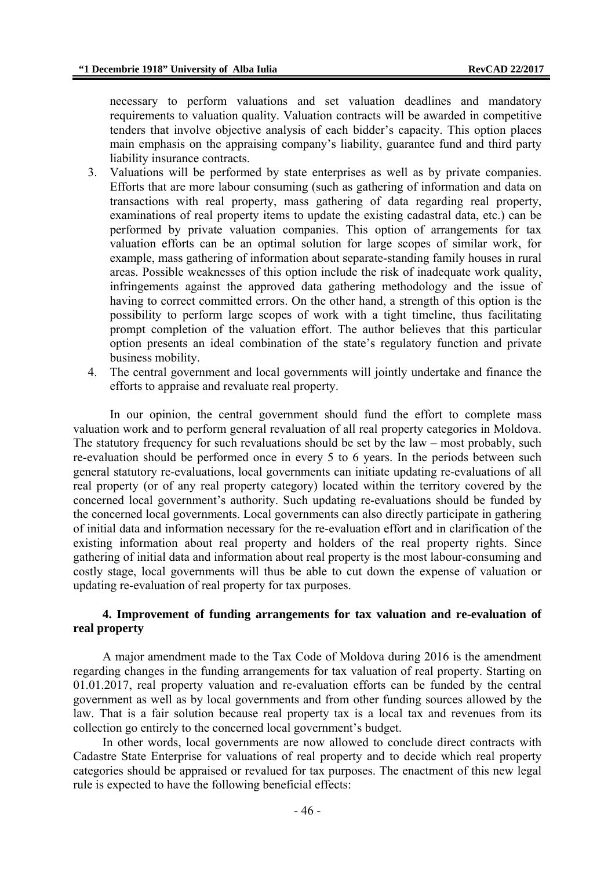necessary to perform valuations and set valuation deadlines and mandatory requirements to valuation quality. Valuation contracts will be awarded in competitive tenders that involve objective analysis of each bidder's capacity. This option places main emphasis on the appraising company's liability, guarantee fund and third party liability insurance contracts.

- 3. Valuations will be performed by state enterprises as well as by private companies. Efforts that are more labour consuming (such as gathering of information and data on transactions with real property, mass gathering of data regarding real property, examinations of real property items to update the existing cadastral data, etc.) can be performed by private valuation companies. This option of arrangements for tax valuation efforts can be an optimal solution for large scopes of similar work, for example, mass gathering of information about separate-standing family houses in rural areas. Possible weaknesses of this option include the risk of inadequate work quality, infringements against the approved data gathering methodology and the issue of having to correct committed errors. On the other hand, a strength of this option is the possibility to perform large scopes of work with a tight timeline, thus facilitating prompt completion of the valuation effort. The author believes that this particular option presents an ideal combination of the state's regulatory function and private business mobility.
- 4. The central government and local governments will jointly undertake and finance the efforts to appraise and revaluate real property.

In our opinion, the central government should fund the effort to complete mass valuation work and to perform general revaluation of all real property categories in Moldova. The statutory frequency for such revaluations should be set by the law – most probably, such re-evaluation should be performed once in every 5 to 6 years. In the periods between such general statutory re-evaluations, local governments can initiate updating re-evaluations of all real property (or of any real property category) located within the territory covered by the concerned local government's authority. Such updating re-evaluations should be funded by the concerned local governments. Local governments can also directly participate in gathering of initial data and information necessary for the re-evaluation effort and in clarification of the existing information about real property and holders of the real property rights. Since gathering of initial data and information about real property is the most labour-consuming and costly stage, local governments will thus be able to cut down the expense of valuation or updating re-evaluation of real property for tax purposes.

### **4. Improvement of funding arrangements for tax valuation and re-evaluation of real property**

A major amendment made to the Tax Code of Moldova during 2016 is the amendment regarding changes in the funding arrangements for tax valuation of real property. Starting on 01.01.2017, real property valuation and re-evaluation efforts can be funded by the central government as well as by local governments and from other funding sources allowed by the law. That is a fair solution because real property tax is a local tax and revenues from its collection go entirely to the concerned local government's budget.

In other words, local governments are now allowed to conclude direct contracts with Cadastre State Enterprise for valuations of real property and to decide which real property categories should be appraised or revalued for tax purposes. The enactment of this new legal rule is expected to have the following beneficial effects: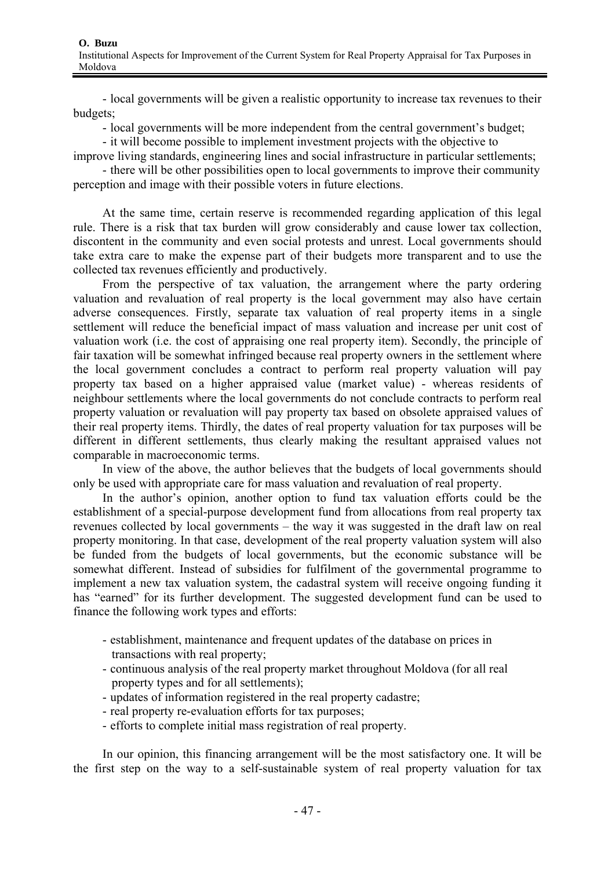- local governments will be given a realistic opportunity to increase tax revenues to their budgets;

- local governments will be more independent from the central government's budget;

- it will become possible to implement investment projects with the objective to improve living standards, engineering lines and social infrastructure in particular settlements;

- there will be other possibilities open to local governments to improve their community perception and image with their possible voters in future elections.

At the same time, certain reserve is recommended regarding application of this legal rule. There is a risk that tax burden will grow considerably and cause lower tax collection, discontent in the community and even social protests and unrest. Local governments should take extra care to make the expense part of their budgets more transparent and to use the collected tax revenues efficiently and productively.

From the perspective of tax valuation, the arrangement where the party ordering valuation and revaluation of real property is the local government may also have certain adverse consequences. Firstly, separate tax valuation of real property items in a single settlement will reduce the beneficial impact of mass valuation and increase per unit cost of valuation work (i.e. the cost of appraising one real property item). Secondly, the principle of fair taxation will be somewhat infringed because real property owners in the settlement where the local government concludes a contract to perform real property valuation will pay property tax based on a higher appraised value (market value) - whereas residents of neighbour settlements where the local governments do not conclude contracts to perform real property valuation or revaluation will pay property tax based on obsolete appraised values of their real property items. Thirdly, the dates of real property valuation for tax purposes will be different in different settlements, thus clearly making the resultant appraised values not comparable in macroeconomic terms.

In view of the above, the author believes that the budgets of local governments should only be used with appropriate care for mass valuation and revaluation of real property.

In the author's opinion, another option to fund tax valuation efforts could be the establishment of a special-purpose development fund from allocations from real property tax revenues collected by local governments – the way it was suggested in the draft law on real property monitoring. In that case, development of the real property valuation system will also be funded from the budgets of local governments, but the economic substance will be somewhat different. Instead of subsidies for fulfilment of the governmental programme to implement a new tax valuation system, the cadastral system will receive ongoing funding it has "earned" for its further development. The suggested development fund can be used to finance the following work types and efforts:

- establishment, maintenance and frequent updates of the database on prices in transactions with real property;
- continuous analysis of the real property market throughout Moldova (for all real property types and for all settlements);
- updates of information registered in the real property cadastre;
- real property re-evaluation efforts for tax purposes;
- efforts to complete initial mass registration of real property.

In our opinion, this financing arrangement will be the most satisfactory one. It will be the first step on the way to a self-sustainable system of real property valuation for tax